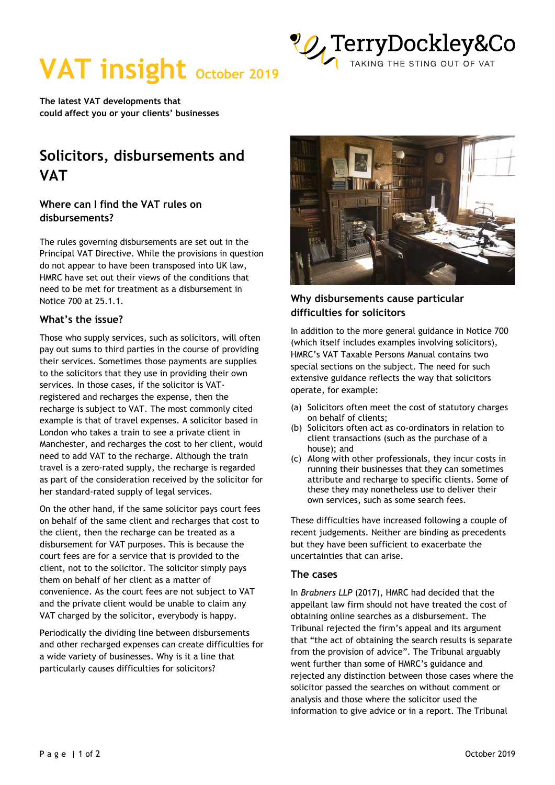

# **VAT insight October 2019**

**The latest VAT developments that could affect you or your clients' businesses** 

# **Solicitors, disbursements and VAT**

# **Where can I find the VAT rules on disbursements?**

The rules governing disbursements are set out in the Principal VAT Directive. While the provisions in question do not appear to have been transposed into UK law, HMRC have set out their views of the conditions that need to be met for treatment as a disbursement in Notice 700 at 25.1.1.

### **What's the issue?**

Those who supply services, such as solicitors, will often pay out sums to third parties in the course of providing their services. Sometimes those payments are supplies to the solicitors that they use in providing their own services. In those cases, if the solicitor is VATregistered and recharges the expense, then the recharge is subject to VAT. The most commonly cited example is that of travel expenses. A solicitor based in London who takes a train to see a private client in Manchester, and recharges the cost to her client, would need to add VAT to the recharge. Although the train travel is a zero-rated supply, the recharge is regarded as part of the consideration received by the solicitor for her standard-rated supply of legal services.

On the other hand, if the same solicitor pays court fees on behalf of the same client and recharges that cost to the client, then the recharge can be treated as a disbursement for VAT purposes. This is because the court fees are for a service that is provided to the client, not to the solicitor. The solicitor simply pays them on behalf of her client as a matter of convenience. As the court fees are not subject to VAT and the private client would be unable to claim any VAT charged by the solicitor, everybody is happy.

Periodically the dividing line between disbursements and other recharged expenses can create difficulties for a wide variety of businesses. Why is it a line that particularly causes difficulties for solicitors?



## **Why disbursements cause particular difficulties for solicitors**

In addition to the more general guidance in Notice 700 (which itself includes examples involving solicitors), HMRC's VAT Taxable Persons Manual contains two special sections on the subject. The need for such extensive guidance reflects the way that solicitors operate, for example:

- (a) Solicitors often meet the cost of statutory charges on behalf of clients;
- (b) Solicitors often act as co-ordinators in relation to client transactions (such as the purchase of a house); and
- (c) Along with other professionals, they incur costs in running their businesses that they can sometimes attribute and recharge to specific clients. Some of these they may nonetheless use to deliver their own services, such as some search fees.

These difficulties have increased following a couple of recent judgements. Neither are binding as precedents but they have been sufficient to exacerbate the uncertainties that can arise.

#### **The cases**

In *Brabners LLP* (2017), HMRC had decided that the appellant law firm should not have treated the cost of obtaining online searches as a disbursement. The Tribunal rejected the firm's appeal and its argument that "the act of obtaining the search results is separate from the provision of advice". The Tribunal arguably went further than some of HMRC's guidance and rejected any distinction between those cases where the solicitor passed the searches on without comment or analysis and those where the solicitor used the information to give advice or in a report. The Tribunal